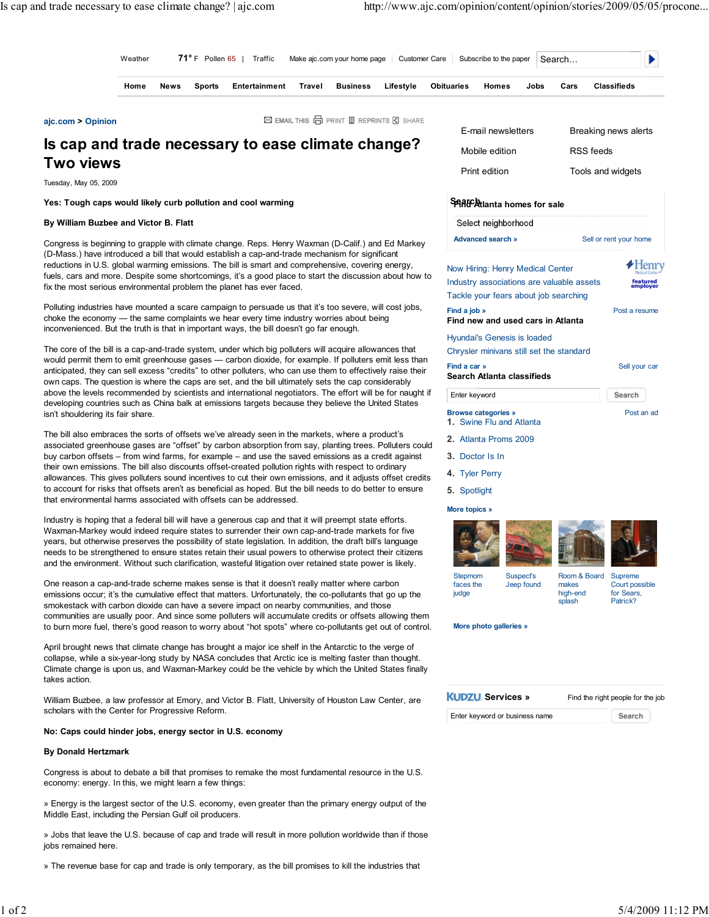| Weather | $71^{\circ}$ F Pollen 65  <br>l Traffic |        |               | Make ajc.com your home page Customer Care Subscribe to the paper |                 |           |            |       |      | Search |             |  |
|---------|-----------------------------------------|--------|---------------|------------------------------------------------------------------|-----------------|-----------|------------|-------|------|--------|-------------|--|
| Home    | News                                    | Sports | Entertainment | Travel                                                           | <b>Business</b> | Lifestyle | Obituaries | Homes | Jobs | Cars   | Classifieds |  |
|         |                                         |        |               |                                                                  |                 |           |            |       |      |        |             |  |

ajc.com > Opinion

⊠ EMAIL THIS □ PRINT ■ REPRINTS G SHARE

# Is cap and trade necessary to ease climate change? Two views

Tuesday, May 05, 2009

Yes: Tough caps would likely curb pollution and cool warming

## By William Buzbee and Victor B. Flatt

Congress is beginning to grapple with climate change. Reps. Henry Waxman (D-Calif.) and Ed Markey (D-Mass.) have introduced a bill that would establish a cap-and-trade mechanism for significant reductions in U.S. global warming emissions. The bill is smart and comprehensive, covering energy, fuels, cars and more. Despite some shortcomings, it's a good place to start the discussion about how to fix the most serious environmental problem the planet has ever faced.

Polluting industries have mounted a scare campaign to persuade us that it's too severe, will cost jobs, choke the economy — the same complaints we hear every time industry worries about being inconvenienced. But the truth is that in important ways, the bill doesn't go far enough.

The core of the bill is a cap-and-trade system, under which big polluters will acquire allowances that would permit them to emit greenhouse gases — carbon dioxide, for example. If polluters emit less than anticipated, they can sell excess "credits" to other polluters, who can use them to effectively raise their own caps. The question is where the caps are set, and the bill ultimately sets the cap considerably above the levels recommended by scientists and international negotiators. The effort will be for naught if developing countries such as China balk at emissions targets because they believe the United States isn't shouldering its fair share.

The bill also embraces the sorts of offsets we've already seen in the markets, where a product's associated greenhouse gases are "offset" by carbon absorption from say, planting trees. Polluters could buy carbon offsets – from wind farms, for example – and use the saved emissions as a credit against their own emissions. The bill also discounts offset-created pollution rights with respect to ordinary allowances. This gives polluters sound incentives to cut their own emissions, and it adjusts offset credits to account for risks that offsets aren't as beneficial as hoped. But the bill needs to do better to ensure that environmental harms associated with offsets can be addressed.

Industry is hoping that a federal bill will have a generous cap and that it will preempt state efforts. Waxman-Markey would indeed require states to surrender their own cap-and-trade markets for five years, but otherwise preserves the possibility of state legislation. In addition, the draft bill's language needs to be strengthened to ensure states retain their usual powers to otherwise protect their citizens and the environment. Without such clarification, wasteful litigation over retained state power is likely.

One reason a cap-and-trade scheme makes sense is that it doesn't really matter where carbon emissions occur; it's the cumulative effect that matters. Unfortunately, the co-pollutants that go up the smokestack with carbon dioxide can have a severe impact on nearby communities, and those communities are usually poor. And since some polluters will accumulate credits or offsets allowing them to burn more fuel, there's good reason to worry about "hot spots" where co-pollutants get out of control.

April brought news that climate change has brought a major ice shelf in the Antarctic to the verge of collapse, while a six-year-long study by NASA concludes that Arctic ice is melting faster than thought. Climate change is upon us, and Waxman-Markey could be the vehicle by which the United States finally takes action.

William Buzbee, a law professor at Emory, and Victor B. Flatt, University of Houston Law Center, are scholars with the Center for Progressive Reform.

## No: Caps could hinder jobs, energy sector in U.S. economy

## By Donald Hertzmark

Congress is about to debate a bill that promises to remake the most fundamental resource in the U.S. economy: energy. In this, we might learn a few things:

» Energy is the largest sector of the U.S. economy, even greater than the primary energy output of the Middle East, including the Persian Gulf oil producers.

» Jobs that leave the U.S. because of cap and trade will result in more pollution worldwide than if those jobs remained here.

» The revenue base for cap and trade is only temporary, as the bill promises to kill the industries that

| E-mail newsletters | Breaking news alerts |
|--------------------|----------------------|
| Mobile edition     | RSS feeds            |
| Print edition      | Tools and widgets    |

## **SARGE Atlanta homes for sale**

| Select neighborhood                                                                |                        |
|------------------------------------------------------------------------------------|------------------------|
| <b>Advanced search »</b>                                                           | Sell or rent your home |
| Now Hiring: Henry Medical Center                                                   |                        |
| Industry associations are valuable assets<br>Tackle your fears about job searching | featured<br>emplover   |
| Find a job »<br>Find new and used cars in Atlanta                                  | Post a resume          |
| Hyundai's Genesis is loaded<br>Chrysler minivans still set the standard            |                        |
| Find a car »<br>Search Atlanta classifieds                                         | Sell your car          |
| Enter keyword                                                                      | Search                 |
| <b>Browse categories »</b><br><b>1.</b> Swine Flu and Atlanta                      | Post an ad             |

- 2. Atlanta Proms 2009
- 3. Doctor Is In
- 4. Tyler Perry
- 5. Spotlight

## More topics »



Suspect's



**Stepmom** faces the judge

Jeep found Room & Board makes high-end splash



More photo galleries »

**KUDZU** Services » Find the right people for the job

Enter keyword or business name

Search